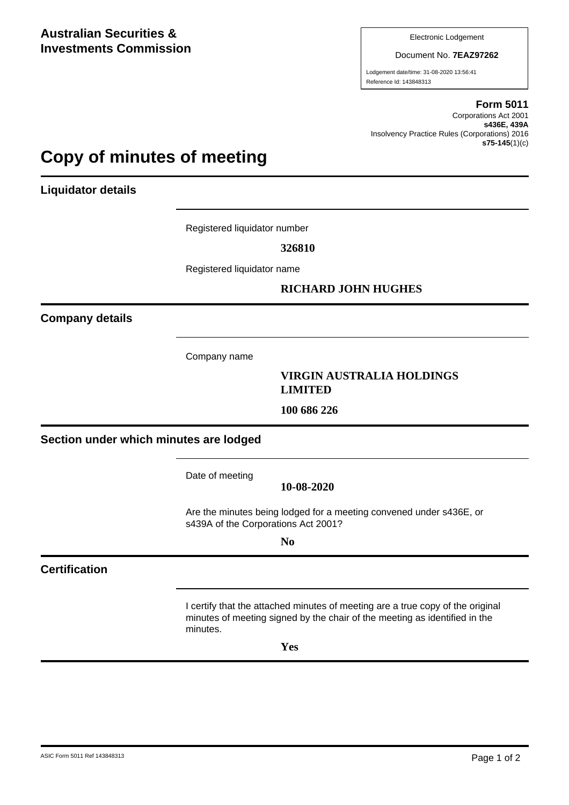Electronic Lodgement

Document No. **7EAZ97262**

Lodgement date/time: 31-08-2020 13:56:41 Reference Id: 143848313

### **Form 5011**

Corporations Act 2001 **s436E, 439A** Insolvency Practice Rules (Corporations) 2016 **s75-145**(1)(c)

# **Copy of minutes of meeting**

**Liquidator details**

Registered liquidator number

**326810**

Registered liquidator name

# **RICHARD JOHN HUGHES**

**Company details**

Company name

## **VIRGIN AUSTRALIA HOLDINGS LIMITED**

**100 686 226**

**Section under which minutes are lodged**

Date of meeting

**10-08-2020**

Are the minutes being lodged for a meeting convened under s436E, or s439A of the Corporations Act 2001?

**No**

# **Certification**

I certify that the attached minutes of meeting are a true copy of the original minutes of meeting signed by the chair of the meeting as identified in the minutes.

**Yes**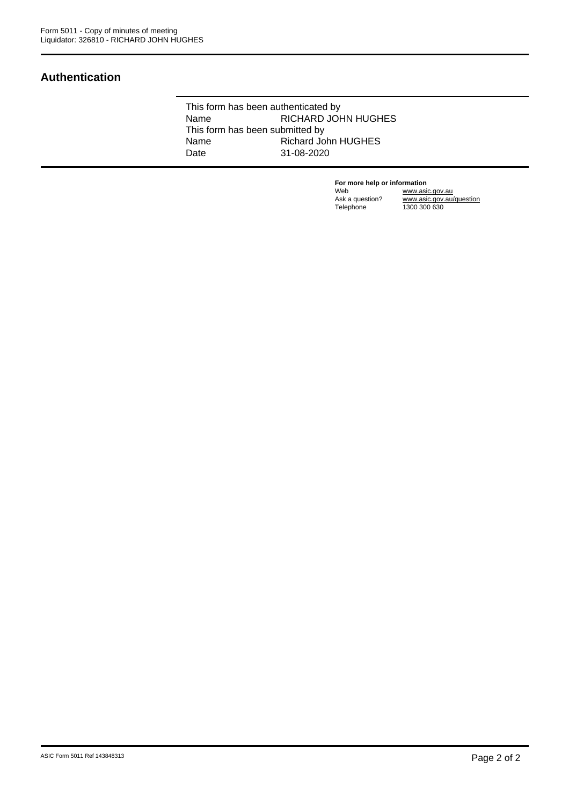# **Authentication**

This form has been authenticated by Name RICHARD JOHN HUGHES This form has been submitted by<br>Name Richard Jo Richard John HUGHES Date 31-08-2020

> **For more help or information**<br>Web www.asi Web www.asic.gov.au Ask a question? www.asic.gov.au/question Telephone 1300 300 630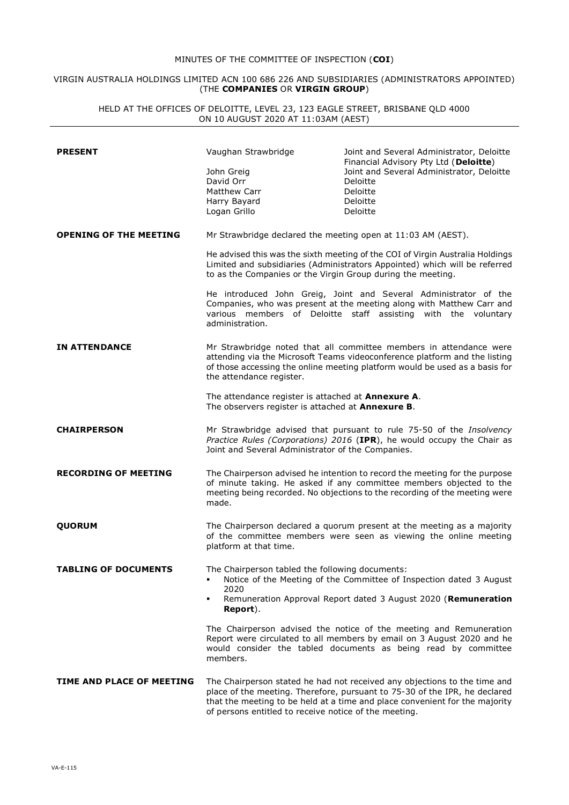### MINUTES OF THE COMMITTEE OF INSPECTION (**COI**)

### VIRGIN AUSTRALIA HOLDINGS LIMITED ACN 100 686 226 AND SUBSIDIARIES (ADMINISTRATORS APPOINTED) (THE **COMPANIES** OR **VIRGIN GROUP**)

HELD AT THE OFFICES OF DELOITTE, LEVEL 23, 123 EAGLE STREET, BRISBANE QLD 4000 ON 10 AUGUST 2020 AT 11:03AM (AEST)

| <b>PRESENT</b>                | Vaughan Strawbridge<br>John Greig<br>David Orr<br>Matthew Carr<br>Harry Bayard<br>Logan Grillo                                                                                                                                                                                             | Joint and Several Administrator, Deloitte<br>Financial Advisory Pty Ltd (Deloitte)<br>Joint and Several Administrator, Deloitte<br>Deloitte<br>Deloitte<br>Deloitte<br>Deloitte                                                        |
|-------------------------------|--------------------------------------------------------------------------------------------------------------------------------------------------------------------------------------------------------------------------------------------------------------------------------------------|----------------------------------------------------------------------------------------------------------------------------------------------------------------------------------------------------------------------------------------|
| <b>OPENING OF THE MEETING</b> | Mr Strawbridge declared the meeting open at 11:03 AM (AEST).<br>He advised this was the sixth meeting of the COI of Virgin Australia Holdings<br>Limited and subsidiaries (Administrators Appointed) which will be referred<br>to as the Companies or the Virgin Group during the meeting. |                                                                                                                                                                                                                                        |
|                               | administration.                                                                                                                                                                                                                                                                            | He introduced John Greig, Joint and Several Administrator of the<br>Companies, who was present at the meeting along with Matthew Carr and<br>various members of Deloitte staff assisting with the voluntary                            |
| <b>IN ATTENDANCE</b>          | Mr Strawbridge noted that all committee members in attendance were<br>attending via the Microsoft Teams videoconference platform and the listing<br>of those accessing the online meeting platform would be used as a basis for<br>the attendance register.                                |                                                                                                                                                                                                                                        |
|                               | The attendance register is attached at <b>Annexure A.</b><br>The observers register is attached at Annexure B.                                                                                                                                                                             |                                                                                                                                                                                                                                        |
| <b>CHAIRPERSON</b>            | Mr Strawbridge advised that pursuant to rule 75-50 of the Insolvency<br>Practice Rules (Corporations) 2016 (IPR), he would occupy the Chair as<br>Joint and Several Administrator of the Companies.                                                                                        |                                                                                                                                                                                                                                        |
| <b>RECORDING OF MEETING</b>   | The Chairperson advised he intention to record the meeting for the purpose<br>of minute taking. He asked if any committee members objected to the<br>meeting being recorded. No objections to the recording of the meeting were<br>made.                                                   |                                                                                                                                                                                                                                        |
| <b>QUORUM</b>                 | The Chairperson declared a quorum present at the meeting as a majority<br>of the committee members were seen as viewing the online meeting<br>platform at that time.                                                                                                                       |                                                                                                                                                                                                                                        |
| <b>TABLING OF DOCUMENTS</b>   | The Chairperson tabled the following documents:<br>2020<br>Report).                                                                                                                                                                                                                        | Notice of the Meeting of the Committee of Inspection dated 3 August<br>Remuneration Approval Report dated 3 August 2020 (Remuneration                                                                                                  |
|                               | members.                                                                                                                                                                                                                                                                                   | The Chairperson advised the notice of the meeting and Remuneration<br>Report were circulated to all members by email on 3 August 2020 and he<br>would consider the tabled documents as being read by committee                         |
| TIME AND PLACE OF MEETING     | of persons entitled to receive notice of the meeting.                                                                                                                                                                                                                                      | The Chairperson stated he had not received any objections to the time and<br>place of the meeting. Therefore, pursuant to 75-30 of the IPR, he declared<br>that the meeting to be held at a time and place convenient for the majority |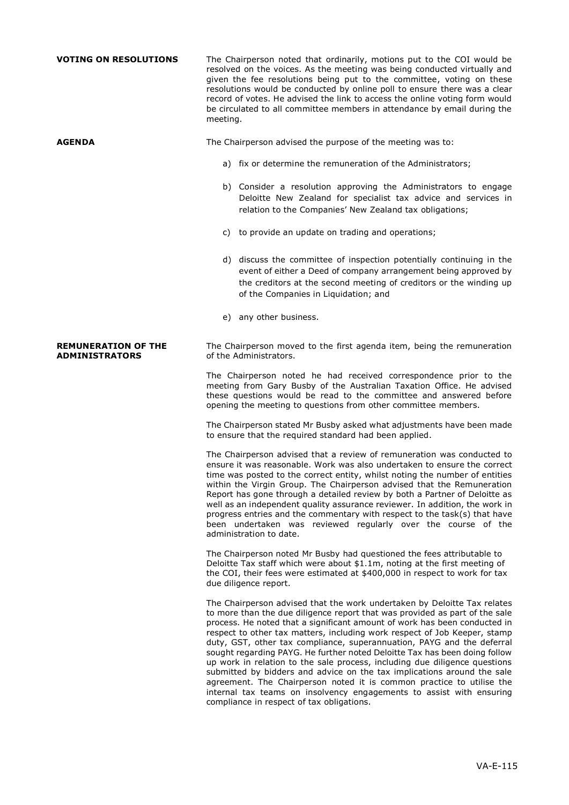| <b>VOTING ON RESOLUTIONS</b>                        | The Chairperson noted that ordinarily, motions put to the COI would be<br>resolved on the voices. As the meeting was being conducted virtually and<br>given the fee resolutions being put to the committee, voting on these<br>resolutions would be conducted by online poll to ensure there was a clear<br>record of votes. He advised the link to access the online voting form would<br>be circulated to all committee members in attendance by email during the<br>meeting.                                                                                                                                                                                                                                                                                                                                                  |  |
|-----------------------------------------------------|----------------------------------------------------------------------------------------------------------------------------------------------------------------------------------------------------------------------------------------------------------------------------------------------------------------------------------------------------------------------------------------------------------------------------------------------------------------------------------------------------------------------------------------------------------------------------------------------------------------------------------------------------------------------------------------------------------------------------------------------------------------------------------------------------------------------------------|--|
| <b>AGENDA</b>                                       | The Chairperson advised the purpose of the meeting was to:                                                                                                                                                                                                                                                                                                                                                                                                                                                                                                                                                                                                                                                                                                                                                                       |  |
|                                                     | a) fix or determine the remuneration of the Administrators;                                                                                                                                                                                                                                                                                                                                                                                                                                                                                                                                                                                                                                                                                                                                                                      |  |
|                                                     | b) Consider a resolution approving the Administrators to engage<br>Deloitte New Zealand for specialist tax advice and services in<br>relation to the Companies' New Zealand tax obligations;                                                                                                                                                                                                                                                                                                                                                                                                                                                                                                                                                                                                                                     |  |
|                                                     | c) to provide an update on trading and operations;                                                                                                                                                                                                                                                                                                                                                                                                                                                                                                                                                                                                                                                                                                                                                                               |  |
|                                                     | d) discuss the committee of inspection potentially continuing in the<br>event of either a Deed of company arrangement being approved by<br>the creditors at the second meeting of creditors or the winding up<br>of the Companies in Liquidation; and                                                                                                                                                                                                                                                                                                                                                                                                                                                                                                                                                                            |  |
|                                                     | e) any other business.                                                                                                                                                                                                                                                                                                                                                                                                                                                                                                                                                                                                                                                                                                                                                                                                           |  |
| <b>REMUNERATION OF THE</b><br><b>ADMINISTRATORS</b> | The Chairperson moved to the first agenda item, being the remuneration<br>of the Administrators.                                                                                                                                                                                                                                                                                                                                                                                                                                                                                                                                                                                                                                                                                                                                 |  |
|                                                     | The Chairperson noted he had received correspondence prior to the<br>meeting from Gary Busby of the Australian Taxation Office. He advised<br>these questions would be read to the committee and answered before<br>opening the meeting to questions from other committee members.                                                                                                                                                                                                                                                                                                                                                                                                                                                                                                                                               |  |
|                                                     | The Chairperson stated Mr Busby asked what adjustments have been made<br>to ensure that the required standard had been applied.                                                                                                                                                                                                                                                                                                                                                                                                                                                                                                                                                                                                                                                                                                  |  |
|                                                     | The Chairperson advised that a review of remuneration was conducted to<br>ensure it was reasonable. Work was also undertaken to ensure the correct<br>time was posted to the correct entity, whilst noting the number of entities<br>within the Virgin Group. The Chairperson advised that the Remuneration<br>Report has gone through a detailed review by both a Partner of Deloitte as<br>well as an independent quality assurance reviewer. In addition, the work in<br>progress entries and the commentary with respect to the task(s) that have<br>been undertaken was reviewed regularly over the course of the<br>administration to date.                                                                                                                                                                                |  |
|                                                     | The Chairperson noted Mr Busby had questioned the fees attributable to<br>Deloitte Tax staff which were about \$1.1m, noting at the first meeting of<br>the COI, their fees were estimated at \$400,000 in respect to work for tax<br>due diligence report.                                                                                                                                                                                                                                                                                                                                                                                                                                                                                                                                                                      |  |
|                                                     | The Chairperson advised that the work undertaken by Deloitte Tax relates<br>to more than the due diligence report that was provided as part of the sale<br>process. He noted that a significant amount of work has been conducted in<br>respect to other tax matters, including work respect of Job Keeper, stamp<br>duty, GST, other tax compliance, superannuation, PAYG and the deferral<br>sought regarding PAYG. He further noted Deloitte Tax has been doing follow<br>up work in relation to the sale process, including due diligence questions<br>submitted by bidders and advice on the tax implications around the sale<br>agreement. The Chairperson noted it is common practice to utilise the<br>internal tax teams on insolvency engagements to assist with ensuring<br>compliance in respect of tax obligations. |  |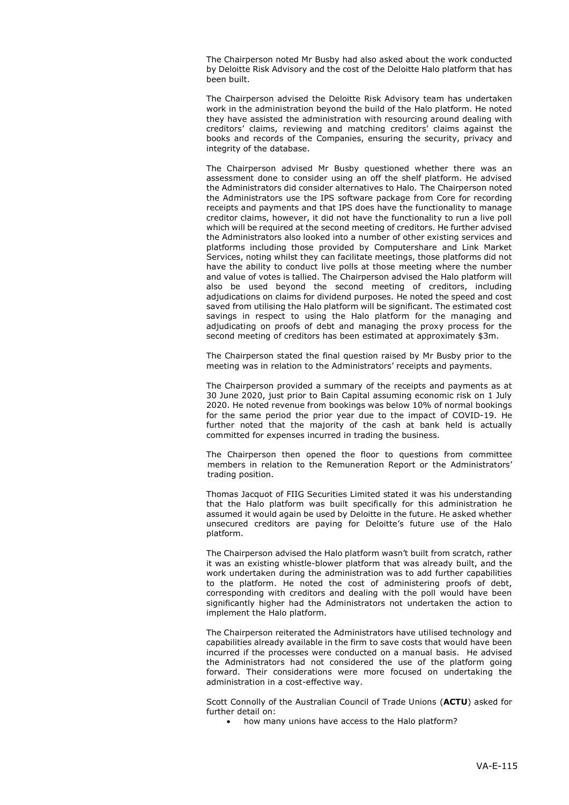The Chairperson noted Mr Busby had also asked about the work conducted by Deloitte Risk Advisory and the cost of the Deloitte Halo platform that has been built.

The Chairperson advised the Deloitte Risk Advisory team has undertaken work in the administration beyond the build of the Halo platform. He noted they have assisted the administration with resourcing around dealing with creditors' claims, reviewing and matching creditors' claims against the books and records of the Companies, ensuring the security, privacy and integrity of the database.

The Chairperson advised Mr Busby questioned whether there was an assessment done to consider using an off the shelf platform. He advised the Administrators did consider alternatives to Halo. The Chairperson noted the Administrators use the IPS software package from Core for recording receipts and payments and that IPS does have the functionality to manage creditor claims, however, it did not have the functionality to run a live poll which will be required at the second meeting of creditors. He further advised the Administrators also looked into a number of other existing services and platforms including those provided by Computershare and Link Market Services, noting whilst they can facilitate meetings, those platforms did not have the ability to conduct live polls at those meeting where the number and value of votes is tallied. The Chairperson advised the Halo platform will also be used beyond the second meeting of creditors, including adjudications on claims for dividend purposes. He noted the speed and cost saved from utilising the Halo platform will be significant. The estimated cost savings in respect to using the Halo platform for the managing and adjudicating on proofs of debt and managing the proxy process for the second meeting of creditors has been estimated at approximately \$3m.

The Chairperson stated the final question raised by Mr Busby prior to the meeting was in relation to the Administrators' receipts and payments.

The Chairperson provided a summary of the receipts and payments as at 30 June 2020, just prior to Bain Capital assuming economic risk on 1 July 2020. He noted revenue from bookings was below 10% of normal bookings for the same period the prior year due to the impact of COVID-19. He further noted that the majority of the cash at bank held is actually committed for expenses incurred in trading the business.

The Chairperson then opened the floor to questions from committee members in relation to the Remuneration Report or the Administrators' trading position.

Thomas Jacquot of FIIG Securities Limited stated it was his understanding that the Halo platform was built specifically for this administration he assumed it would again be used by Deloitte in the future. He asked whether unsecured creditors are paying for Deloitte's future use of the Halo platform.

The Chairperson advised the Halo platform wasn't built from scratch, rather it was an existing whistle-blower platform that was already built, and the work undertaken during the administration was to add further capabilities to the platform. He noted the cost of administering proofs of debt, corresponding with creditors and dealing with the poll would have been significantly higher had the Administrators not undertaken the action to implement the Halo platform.

The Chairperson reiterated the Administrators have utilised technology and capabilities already available in the firm to save costs that would have been incurred if the processes were conducted on a manual basis. He advised the Administrators had not considered the use of the platform going forward. Their considerations were more focused on undertaking the administration in a cost-effective way.

Scott Connolly of the Australian Council of Trade Unions (**ACTU**) asked for further detail on:

• how many unions have access to the Halo platform?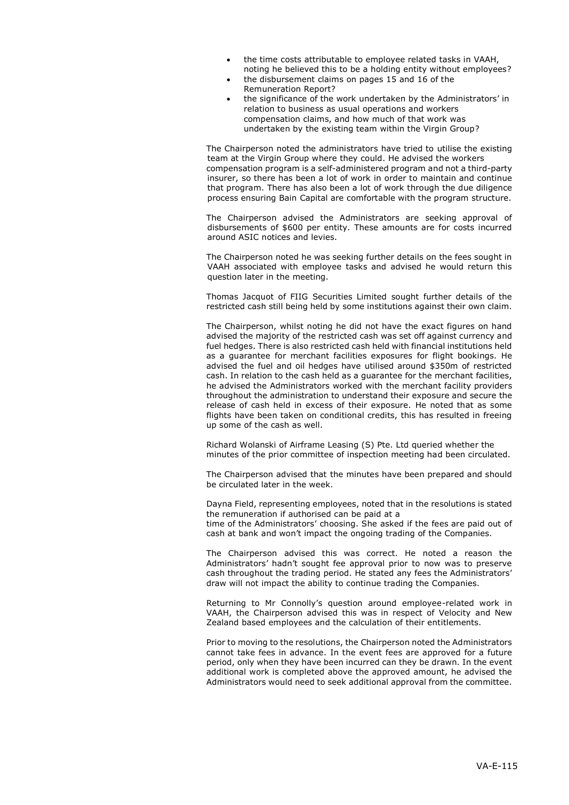- the time costs attributable to employee related tasks in VAAH, noting he believed this to be a holding entity without employees?
- the disbursement claims on pages 15 and 16 of the Remuneration Report?
- the significance of the work undertaken by the Administrators' in relation to business as usual operations and workers compensation claims, and how much of that work was undertaken by the existing team within the Virgin Group?

The Chairperson noted the administrators have tried to utilise the existing team at the Virgin Group where they could. He advised the workers compensation program is a self-administered program and not a third-party insurer, so there has been a lot of work in order to maintain and continue that program. There has also been a lot of work through the due diligence process ensuring Bain Capital are comfortable with the program structure.

The Chairperson advised the Administrators are seeking approval of disbursements of \$600 per entity. These amounts are for costs incurred around ASIC notices and levies.

The Chairperson noted he was seeking further details on the fees sought in VAAH associated with employee tasks and advised he would return this question later in the meeting.

Thomas Jacquot of FIIG Securities Limited sought further details of the restricted cash still being held by some institutions against their own claim.

The Chairperson, whilst noting he did not have the exact figures on hand advised the majority of the restricted cash was set off against currency and fuel hedges. There is also restricted cash held with financial institutions held as a guarantee for merchant facilities exposures for flight bookings. He advised the fuel and oil hedges have utilised around \$350m of restricted cash. In relation to the cash held as a guarantee for the merchant facilities, he advised the Administrators worked with the merchant facility providers throughout the administration to understand their exposure and secure the release of cash held in excess of their exposure. He noted that as some flights have been taken on conditional credits, this has resulted in freeing up some of the cash as well.

Richard Wolanski of Airframe Leasing (S) Pte. Ltd queried whether the minutes of the prior committee of inspection meeting had been circulated.

The Chairperson advised that the minutes have been prepared and should be circulated later in the week.

Dayna Field, representing employees, noted that in the resolutions is stated the remuneration if authorised can be paid at a

time of the Administrators' choosing. She asked if the fees are paid out of cash at bank and won't impact the ongoing trading of the Companies.

The Chairperson advised this was correct. He noted a reason the Administrators' hadn't sought fee approval prior to now was to preserve cash throughout the trading period. He stated any fees the Administrators' draw will not impact the ability to continue trading the Companies.

Returning to Mr Connolly's question around employee-related work in VAAH, the Chairperson advised this was in respect of Velocity and New Zealand based employees and the calculation of their entitlements.

Prior to moving to the resolutions, the Chairperson noted the Administrators cannot take fees in advance. In the event fees are approved for a future period, only when they have been incurred can they be drawn. In the event additional work is completed above the approved amount, he advised the Administrators would need to seek additional approval from the committee.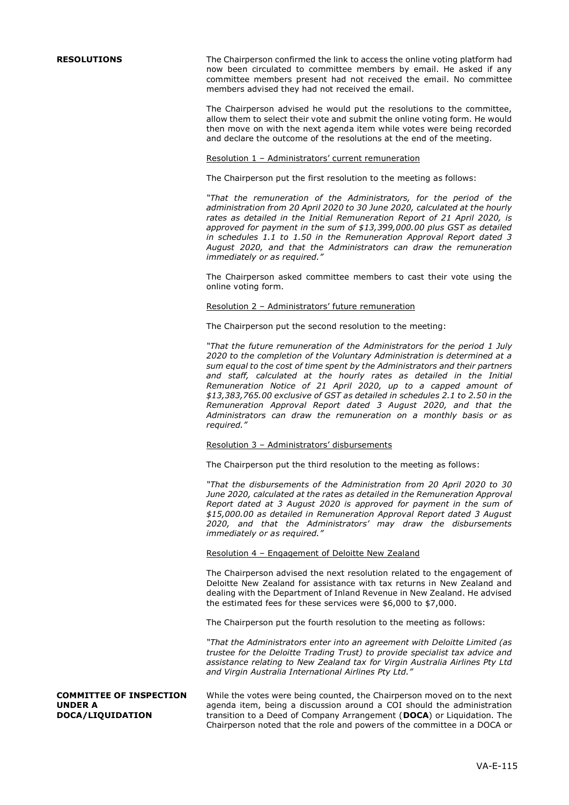**RESOLUTIONS** The Chairperson confirmed the link to access the online voting platform had now been circulated to committee members by email. He asked if any committee members present had not received the email. No committee members advised they had not received the email.

> The Chairperson advised he would put the resolutions to the committee, allow them to select their vote and submit the online voting form. He would then move on with the next agenda item while votes were being recorded and declare the outcome of the resolutions at the end of the meeting.

Resolution 1 – Administrators' current remuneration

The Chairperson put the first resolution to the meeting as follows:

*"That the remuneration of the Administrators, for the period of the administration from 20 April 2020 to 30 June 2020, calculated at the hourly rates as detailed in the Initial Remuneration Report of 21 April 2020, is approved for payment in the sum of \$13,399,000.00 plus GST as detailed in schedules 1.1 to 1.50 in the Remuneration Approval Report dated 3 August 2020, and that the Administrators can draw the remuneration immediately or as required."*

The Chairperson asked committee members to cast their vote using the online voting form.

### Resolution 2 – Administrators' future remuneration

The Chairperson put the second resolution to the meeting:

*"That the future remuneration of the Administrators for the period 1 July 2020 to the completion of the Voluntary Administration is determined at a sum equal to the cost of time spent by the Administrators and their partners and staff, calculated at the hourly rates as detailed in the Initial Remuneration Notice of 21 April 2020, up to a capped amount of \$13,383,765.00 exclusive of GST as detailed in schedules 2.1 to 2.50 in the Remuneration Approval Report dated 3 August 2020, and that the Administrators can draw the remuneration on a monthly basis or as required."*

### Resolution 3 – Administrators' disbursements

The Chairperson put the third resolution to the meeting as follows:

*"That the disbursements of the Administration from 20 April 2020 to 30 June 2020, calculated at the rates as detailed in the Remuneration Approval Report dated at 3 August 2020 is approved for payment in the sum of \$15,000.00 as detailed in Remuneration Approval Report dated 3 August 2020, and that the Administrators' may draw the disbursements immediately or as required."*

### Resolution 4 – Engagement of Deloitte New Zealand

The Chairperson advised the next resolution related to the engagement of Deloitte New Zealand for assistance with tax returns in New Zealand and dealing with the Department of Inland Revenue in New Zealand. He advised the estimated fees for these services were \$6,000 to \$7,000.

The Chairperson put the fourth resolution to the meeting as follows:

*"That the Administrators enter into an agreement with Deloitte Limited (as trustee for the Deloitte Trading Trust) to provide specialist tax advice and assistance relating to New Zealand tax for Virgin Australia Airlines Pty Ltd and Virgin Australia International Airlines Pty Ltd."*

**COMMITTEE OF INSPECTION UNDER A DOCA/LIQUIDATION**

While the votes were being counted, the Chairperson moved on to the next agenda item, being a discussion around a COI should the administration transition to a Deed of Company Arrangement (**DOCA**) or Liquidation. The Chairperson noted that the role and powers of the committee in a DOCA or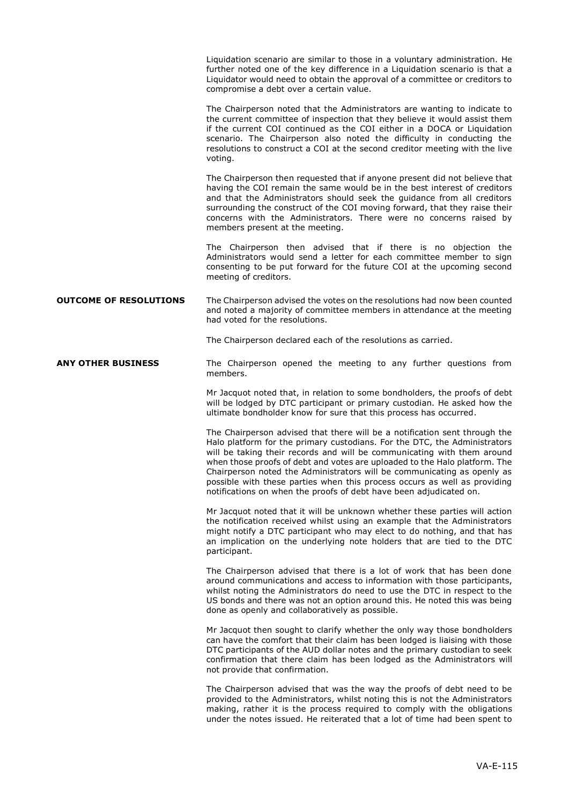Liquidation scenario are similar to those in a voluntary administration. He further noted one of the key difference in a Liquidation scenario is that a Liquidator would need to obtain the approval of a committee or creditors to compromise a debt over a certain value.

The Chairperson noted that the Administrators are wanting to indicate to the current committee of inspection that they believe it would assist them if the current COI continued as the COI either in a DOCA or Liquidation scenario. The Chairperson also noted the difficulty in conducting the resolutions to construct a COI at the second creditor meeting with the live voting.

The Chairperson then requested that if anyone present did not believe that having the COI remain the same would be in the best interest of creditors and that the Administrators should seek the guidance from all creditors surrounding the construct of the COI moving forward, that they raise their concerns with the Administrators. There were no concerns raised by members present at the meeting.

The Chairperson then advised that if there is no objection the Administrators would send a letter for each committee member to sign consenting to be put forward for the future COI at the upcoming second meeting of creditors.

**OUTCOME OF RESOLUTIONS** The Chairperson advised the votes on the resolutions had now been counted and noted a majority of committee members in attendance at the meeting had voted for the resolutions.

The Chairperson declared each of the resolutions as carried.

**ANY OTHER BUSINESS** The Chairperson opened the meeting to any further questions from members.

> Mr Jacquot noted that, in relation to some bondholders, the proofs of debt will be lodged by DTC participant or primary custodian. He asked how the ultimate bondholder know for sure that this process has occurred.

> The Chairperson advised that there will be a notification sent through the Halo platform for the primary custodians. For the DTC, the Administrators will be taking their records and will be communicating with them around when those proofs of debt and votes are uploaded to the Halo platform. The Chairperson noted the Administrators will be communicating as openly as possible with these parties when this process occurs as well as providing notifications on when the proofs of debt have been adjudicated on.

> Mr Jacquot noted that it will be unknown whether these parties will action the notification received whilst using an example that the Administrators might notify a DTC participant who may elect to do nothing, and that has an implication on the underlying note holders that are tied to the DTC participant.

> The Chairperson advised that there is a lot of work that has been done around communications and access to information with those participants, whilst noting the Administrators do need to use the DTC in respect to the US bonds and there was not an option around this. He noted this was being done as openly and collaboratively as possible.

> Mr Jacquot then sought to clarify whether the only way those bondholders can have the comfort that their claim has been lodged is liaising with those DTC participants of the AUD dollar notes and the primary custodian to seek confirmation that there claim has been lodged as the Administrators will not provide that confirmation.

> The Chairperson advised that was the way the proofs of debt need to be provided to the Administrators, whilst noting this is not the Administrators making, rather it is the process required to comply with the obligations under the notes issued. He reiterated that a lot of time had been spent to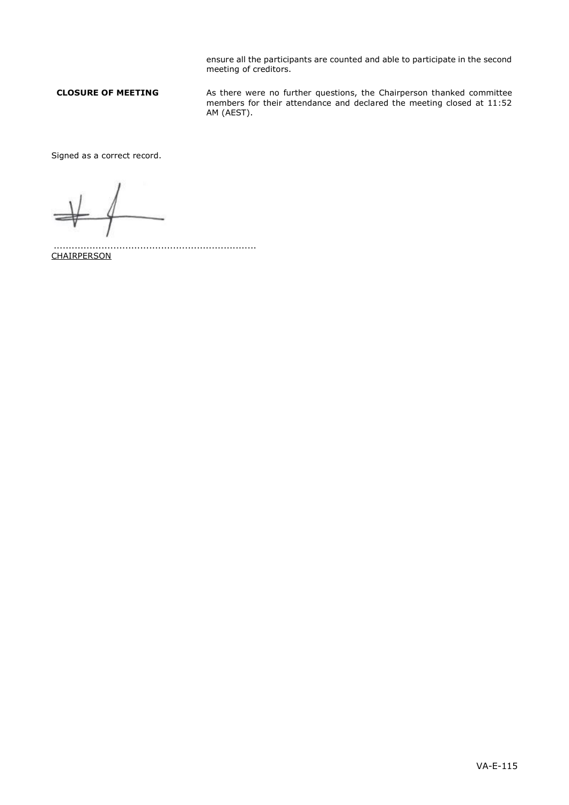ensure all the participants are counted and able to participate in the second meeting of creditors.

**CLOSURE OF MEETING** As there were no further questions, the Chairperson thanked committee members for their attendance and declared the meeting closed at 11:52 AM (AEST).

Signed as a correct record.

.................................................................... **CHAIRPERSON**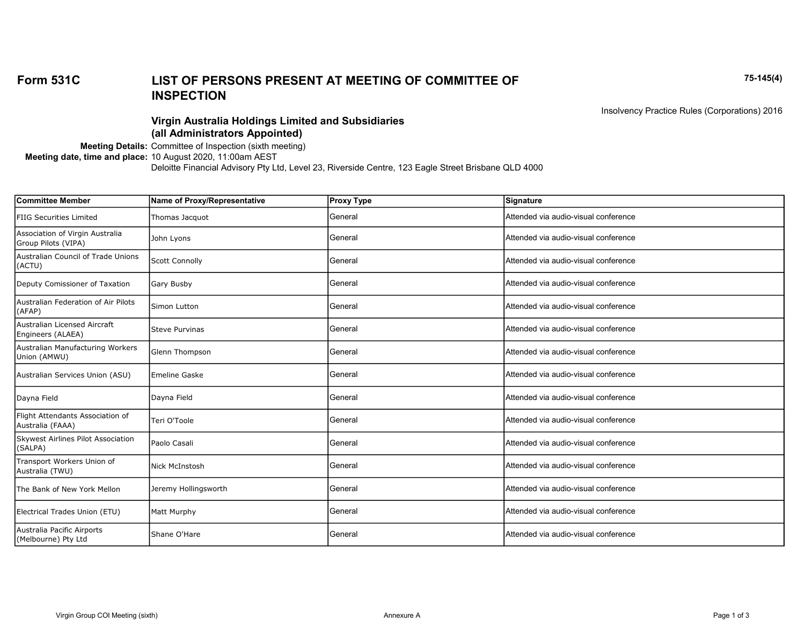## Form 531C 75-145(4) LIST OF PERSONS PRESENT AT MEETING OF COMMITTEE OF INSPECTION

Insolvency Practice Rules (Corporations) 2016

## Virgin Australia Holdings Limited and Subsidiaries (all Administrators Appointed)

Meeting Details: Committee of Inspection (sixth meeting) Meeting date, time and place: 10 August 2020, 11:00am AEST Deloitte Financial Advisory Pty Ltd, Level 23, Riverside Centre, 123 Eagle Street Brisbane QLD 4000

| Name of Proxy/Representative | <b>Proxy Type</b> | Signature                            |
|------------------------------|-------------------|--------------------------------------|
| Thomas Jacquot               | General           | Attended via audio-visual conference |
| John Lyons                   | General           | Attended via audio-visual conference |
| <b>Scott Connolly</b>        | General           | Attended via audio-visual conference |
| <b>Gary Busby</b>            | General           | Attended via audio-visual conference |
| Simon Lutton                 | General           | Attended via audio-visual conference |
| <b>Steve Purvinas</b>        | General           | Attended via audio-visual conference |
| Glenn Thompson               | General           | Attended via audio-visual conference |
| <b>Emeline Gaske</b>         | General           | Attended via audio-visual conference |
| Dayna Field                  | General           | Attended via audio-visual conference |
| Teri O'Toole                 | General           | Attended via audio-visual conference |
| Paolo Casali                 | General           | Attended via audio-visual conference |
| Nick McInstosh               | General           | Attended via audio-visual conference |
| Jeremy Hollingsworth         | General           | Attended via audio-visual conference |
| Matt Murphy                  | General           | Attended via audio-visual conference |
| Shane O'Hare                 | General           | Attended via audio-visual conference |
|                              |                   |                                      |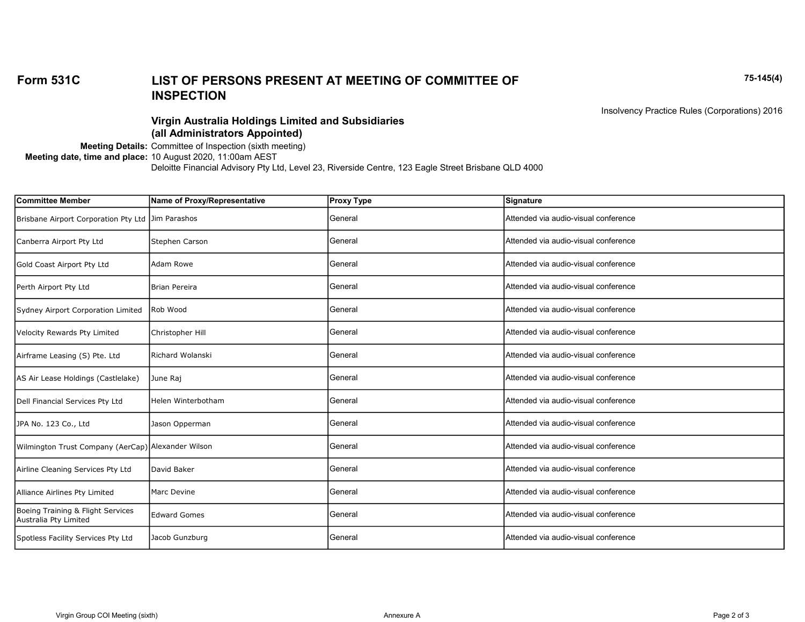## Form 531C 75-145(4) LIST OF PERSONS PRESENT AT MEETING OF COMMITTEE OF INSPECTION

Insolvency Practice Rules (Corporations) 2016

## Virgin Australia Holdings Limited and Subsidiaries (all Administrators Appointed)

Meeting Details: Committee of Inspection (sixth meeting) Meeting date, time and place: 10 August 2020, 11:00am AEST Deloitte Financial Advisory Pty Ltd, Level 23, Riverside Centre, 123 Eagle Street Brisbane QLD 4000

| <b>Committee Member</b>                                    | Name of Proxy/Representative | <b>Proxy Type</b> | <b>Signature</b>                      |
|------------------------------------------------------------|------------------------------|-------------------|---------------------------------------|
| Brisbane Airport Corporation Pty Ltd Jim Parashos          |                              | General           | Attended via audio-visual conference  |
| Canberra Airport Pty Ltd                                   | Stephen Carson               | General           | Attended via audio-visual conference  |
| Gold Coast Airport Pty Ltd                                 | Adam Rowe                    | General           | Attended via audio-visual conference  |
| Perth Airport Pty Ltd                                      | Brian Pereira                | General           | Attended via audio-visual conference  |
| Sydney Airport Corporation Limited                         | Rob Wood                     | General           | Attended via audio-visual conference  |
| Velocity Rewards Pty Limited                               | Christopher Hill             | General           | Attended via audio-visual conference  |
| Airframe Leasing (S) Pte. Ltd                              | Richard Wolanski             | General           | Attended via audio-visual conference  |
| AS Air Lease Holdings (Castlelake)                         | June Raj                     | General           | Attended via audio-visual conference  |
| Dell Financial Services Pty Ltd                            | Helen Winterbotham           | General           | Attended via audio-visual conference  |
| JPA No. 123 Co., Ltd                                       | Jason Opperman               | General           | Attended via audio-visual conference  |
| Wilmington Trust Company (AerCap) Alexander Wilson         |                              | General           | Attended via audio-visual conference  |
| Airline Cleaning Services Pty Ltd                          | David Baker                  | General           | Attended via audio-visual conference  |
| Alliance Airlines Pty Limited                              | Marc Devine                  | General           | Attended via audio-visual conference  |
| Boeing Training & Flight Services<br>Australia Pty Limited | <b>Edward Gomes</b>          | General           | Attended via audio-visual conference  |
| Spotless Facility Services Pty Ltd                         | Jacob Gunzburg               | General           | IAttended via audio-visual conference |
|                                                            |                              |                   |                                       |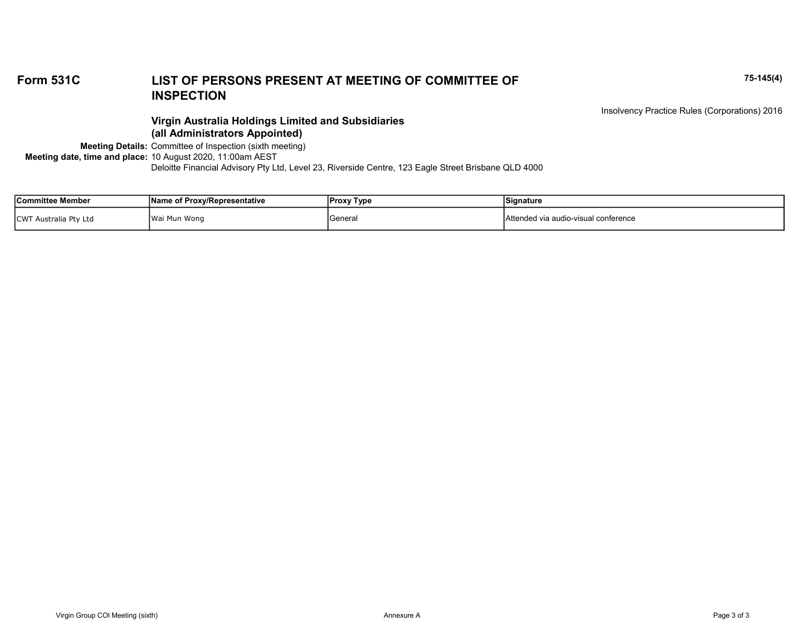# Form 531C 75-145(4) LIST OF PERSONS PRESENT AT MEETING OF COMMITTEE OF INSPECTION

Insolvency Practice Rules (Corporations) 2016

### Virgin Australia Holdings Limited and Subsidiaries (all Administrators Appointed)

Meeting Details: Committee of Inspection (sixth meeting) Meeting date, time and place: 10 August 2020, 11:00am AEST Deloitte Financial Advisory Pty Ltd, Level 23, Riverside Centre, 123 Eagle Street Brisbane QLD 4000

| <b>Committee Member</b>                      | <b>Name of Proxy/Representative</b> | <b>Proxy Type</b> | Signature                            |
|----------------------------------------------|-------------------------------------|-------------------|--------------------------------------|
| <b>CWT</b><br><sup>-</sup> Australia Pty Ltd | Wai Mun Wong                        | General           | Attended via audio-visual conference |